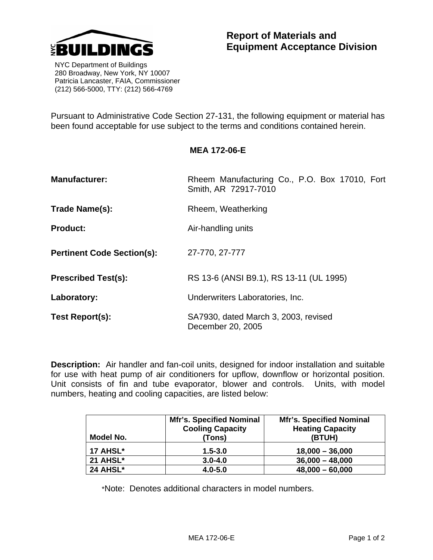

 NYC Department of Buildings 280 Broadway, New York, NY 10007 Patricia Lancaster, FAIA, Commissioner (212) 566-5000, TTY: (212) 566-4769

Pursuant to Administrative Code Section 27-131, the following equipment or material has been found acceptable for use subject to the terms and conditions contained herein.

## **MEA 172-06-E**

| <b>Manufacturer:</b>              | Rheem Manufacturing Co., P.O. Box 17010, Fort<br>Smith, AR 72917-7010 |  |
|-----------------------------------|-----------------------------------------------------------------------|--|
| Trade Name(s):                    | Rheem, Weatherking                                                    |  |
| <b>Product:</b>                   | Air-handling units                                                    |  |
| <b>Pertinent Code Section(s):</b> | 27-770, 27-777                                                        |  |
| <b>Prescribed Test(s):</b>        | RS 13-6 (ANSI B9.1), RS 13-11 (UL 1995)                               |  |
| Laboratory:                       | Underwriters Laboratories, Inc.                                       |  |
| Test Report(s):                   | SA7930, dated March 3, 2003, revised<br>December 20, 2005             |  |

**Description:** Air handler and fan-coil units, designed for indoor installation and suitable for use with heat pump of air conditioners for upflow, downflow or horizontal position. Unit consists of fin and tube evaporator, blower and controls. Units, with model numbers, heating and cooling capacities, are listed below:

| Model No.       | <b>Mfr's. Specified Nominal</b><br><b>Cooling Capacity</b><br>(Tons) | <b>Mfr's. Specified Nominal</b><br><b>Heating Capacity</b><br>(BTUH) |
|-----------------|----------------------------------------------------------------------|----------------------------------------------------------------------|
| 17 AHSL*        | $1.5 - 3.0$                                                          | $18,000 - 36,000$                                                    |
| <b>21 AHSL*</b> | $3.0 - 4.0$                                                          | $36,000 - 48,000$                                                    |
| 24 AHSL*        | $4.0 - 5.0$                                                          | $48,000 - 60,000$                                                    |

\*Note: Denotes additional characters in model numbers.